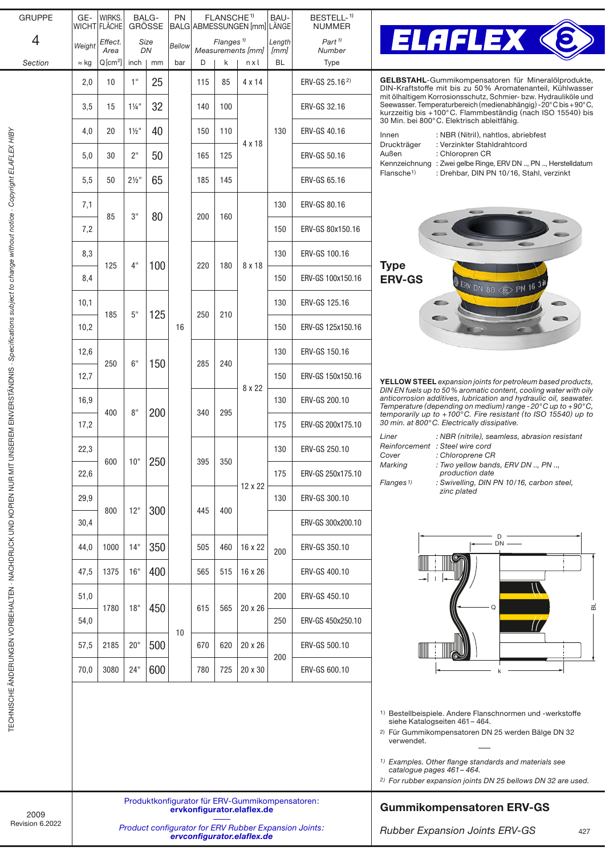| <b>GRUPPE</b>                                                                                     | GE-                                                                           | WIRKS.<br>WICHT FLÄCHE |                  | BALG-<br><b>GRÖSSE</b> | PN     | FLANSCHE <sup>1)</sup><br>BALG ABMESSUNGEN [mm] LÄNGE  |     | BAU-                                                                                | BESTELL- <sup>1)</sup><br><b>NUMMER</b>                                                                                                                                                                                                                                                                                                                            |                            |                                                                                                                                                                                                                           |  |  |  |  |
|---------------------------------------------------------------------------------------------------|-------------------------------------------------------------------------------|------------------------|------------------|------------------------|--------|--------------------------------------------------------|-----|-------------------------------------------------------------------------------------|--------------------------------------------------------------------------------------------------------------------------------------------------------------------------------------------------------------------------------------------------------------------------------------------------------------------------------------------------------------------|----------------------------|---------------------------------------------------------------------------------------------------------------------------------------------------------------------------------------------------------------------------|--|--|--|--|
| 4                                                                                                 | Weight                                                                        | Effect.                |                  | Size<br>DN             | Bellow | Flanges <sup><math>1</math></sup><br>Measurements [mm] |     | Length                                                                              | $Part$ <sup><math>1</math></sup>                                                                                                                                                                                                                                                                                                                                   | <b>ELAFLEX &lt;</b>        |                                                                                                                                                                                                                           |  |  |  |  |
| Section                                                                                           | $\approx$ kg                                                                  | Area<br>$Q[cm^2]$      | inch             | mm                     | bar    | D                                                      | k   | nxl                                                                                 | [mm]<br><b>BL</b>                                                                                                                                                                                                                                                                                                                                                  | Number<br>Type             |                                                                                                                                                                                                                           |  |  |  |  |
|                                                                                                   | 2,0                                                                           | 10                     | 1"               | 25                     |        | 115                                                    | 85  | 4 x 14                                                                              |                                                                                                                                                                                                                                                                                                                                                                    | ERV-GS 25.16 <sup>2)</sup> | GELBSTAHL-Gummikompensatoren für Mineralölprodukte,<br>DIN-Kraftstoffe mit bis zu 50% Aromatenanteil, Kühlwasser                                                                                                          |  |  |  |  |
| UNSEREM EINVERSTÄNDNIS - Specifications subject to change without notice - Copyright ELAFLEX HIBY | 3,5                                                                           | 15                     | $1\frac{1}{4}$ " | 32                     |        | 140                                                    | 100 |                                                                                     |                                                                                                                                                                                                                                                                                                                                                                    | ERV-GS 32.16               | mit ölhaltigem Korrosionsschutz, Schmier- bzw. Hydrauliköle und<br>Seewasser. Temperaturbereich (medienabhängig) - 20°C bis + 90°C,<br>kurzzeitig bis +100°C. Flammbeständig (nach ISO 15540) bis                         |  |  |  |  |
|                                                                                                   | 4,0                                                                           | 20                     | $1\frac{1}{2}$ " | 40                     |        | 150                                                    | 110 |                                                                                     | 130                                                                                                                                                                                                                                                                                                                                                                | ERV-GS 40.16               | 30 Min. bei 800°C. Elektrisch ableitfähig.<br>: NBR (Nitril), nahtlos, abriebfest<br>Innen                                                                                                                                |  |  |  |  |
|                                                                                                   | 5,0                                                                           | 30                     | 2"               | 50                     |        | 165                                                    | 125 | 4 x 18                                                                              |                                                                                                                                                                                                                                                                                                                                                                    | ERV-GS 50.16               | Druckträger<br>: Verzinkter Stahldrahtcord<br>Außen<br>: Chloropren CR<br>Kennzeichnung : Zwei gelbe Ringe, ERV DN , PN , Herstelldatum                                                                                   |  |  |  |  |
|                                                                                                   | 5,5                                                                           | 50                     | $2\frac{1}{2}$ " | 65                     |        | 185                                                    | 145 |                                                                                     |                                                                                                                                                                                                                                                                                                                                                                    | ERV-GS 65.16               | : Drehbar, DIN PN 10/16, Stahl, verzinkt<br>Flansche <sup>1)</sup>                                                                                                                                                        |  |  |  |  |
|                                                                                                   | 7,1                                                                           | 85                     | 3"               |                        |        |                                                        |     |                                                                                     | 130                                                                                                                                                                                                                                                                                                                                                                | ERV-GS 80.16               |                                                                                                                                                                                                                           |  |  |  |  |
|                                                                                                   | 7,2                                                                           |                        |                  | 80                     |        | 200                                                    | 160 |                                                                                     | 150                                                                                                                                                                                                                                                                                                                                                                | ERV-GS 80x150.16           |                                                                                                                                                                                                                           |  |  |  |  |
|                                                                                                   | 8,3                                                                           |                        |                  |                        |        |                                                        |     |                                                                                     | 130                                                                                                                                                                                                                                                                                                                                                                | ERV-GS 100.16              |                                                                                                                                                                                                                           |  |  |  |  |
|                                                                                                   | 8,4                                                                           | 125                    | 4"               | 100                    |        | 220                                                    | 180 | 8 x 18                                                                              | 150                                                                                                                                                                                                                                                                                                                                                                | ERV-GS 100x150.16          | <b>Type</b><br><b>ERV-GS</b><br>$\frac{1}{2}$ ERV DN 80 $\textcircled{\tiny{\textcircled{\tiny{F}}}}$ PN 16                                                                                                               |  |  |  |  |
|                                                                                                   | 10,1                                                                          |                        |                  |                        |        |                                                        |     |                                                                                     | 130                                                                                                                                                                                                                                                                                                                                                                | ERV-GS 125.16              | ⊂                                                                                                                                                                                                                         |  |  |  |  |
|                                                                                                   | 10,2                                                                          | 185                    | 5"               | 125                    | 16     | 250                                                    | 210 |                                                                                     | 150                                                                                                                                                                                                                                                                                                                                                                | ERV-GS 125x150.16          |                                                                                                                                                                                                                           |  |  |  |  |
|                                                                                                   | 12,6                                                                          |                        |                  | 150                    |        |                                                        |     | 8 x 22                                                                              | 130                                                                                                                                                                                                                                                                                                                                                                | ERV-GS 150.16              |                                                                                                                                                                                                                           |  |  |  |  |
|                                                                                                   | 12,7                                                                          | 250                    | 6"               |                        |        | 285                                                    | 240 |                                                                                     | 150                                                                                                                                                                                                                                                                                                                                                                | ERV-GS 150x150.16          | <b>YELLOW STEEL</b> expansion joints for petroleum based products,                                                                                                                                                        |  |  |  |  |
|                                                                                                   | 16,9                                                                          |                        |                  | 200                    |        | 340                                                    | 295 |                                                                                     | 130                                                                                                                                                                                                                                                                                                                                                                | ERV-GS 200.10              | DIN EN fuels up to 50% aromatic content, cooling water with oily<br>anticorrosion additives, lubrication and hydraulic oil, seawater.<br>Temperature (depending on medium) range - $20^{\circ}$ C up to +90 $^{\circ}$ C, |  |  |  |  |
|                                                                                                   | 17,2                                                                          | 400                    | 8"               |                        |        |                                                        |     |                                                                                     | 175                                                                                                                                                                                                                                                                                                                                                                | ERV-GS 200x175.10          | temporarily up to $+100^{\circ}$ C. Fire resistant (to ISO 15540) up to<br>30 min. at 800°C. Electrically dissipative.                                                                                                    |  |  |  |  |
| TECHNISCHE ÄNDERUNGEN VORBEHALTEN - NACHDRUCK UND KOPIEN NUR MIT                                  | 22,3                                                                          |                        |                  |                        |        |                                                        |     |                                                                                     | 130                                                                                                                                                                                                                                                                                                                                                                | ERV-GS 250.10              | : NBR (nitrile), seamless, abrasion resistant<br>Liner<br>Reinforcement : Steel wire cord<br>: Chloroprene CR<br>Cover                                                                                                    |  |  |  |  |
|                                                                                                   | 22,6                                                                          | 600                    | 10"              | 250                    |        | 395                                                    | 350 | 12 x 22<br>16 x 22                                                                  | 175                                                                                                                                                                                                                                                                                                                                                                | ERV-GS 250x175.10          | Marking<br>: Two yellow bands, ERV DN , PN ,<br>production date<br>Flanges <sup>1)</sup><br>: Swivelling, DIN PN 10/16, carbon steel,                                                                                     |  |  |  |  |
|                                                                                                   | 29,9                                                                          |                        |                  | 300                    |        | 445                                                    | 400 |                                                                                     | 130                                                                                                                                                                                                                                                                                                                                                                | ERV-GS 300.10              | zinc plated                                                                                                                                                                                                               |  |  |  |  |
|                                                                                                   | 30,4                                                                          | 800                    | 12"              |                        |        |                                                        |     |                                                                                     |                                                                                                                                                                                                                                                                                                                                                                    | ERV-GS 300x200.10          |                                                                                                                                                                                                                           |  |  |  |  |
|                                                                                                   | 44,0                                                                          | 1000                   | 14"              | 350                    |        | 505                                                    | 460 |                                                                                     | 200                                                                                                                                                                                                                                                                                                                                                                | ERV-GS 350.10              | D<br>$DN$ $-$                                                                                                                                                                                                             |  |  |  |  |
|                                                                                                   | 47,5                                                                          | 1375                   | 16"              | 400                    |        | 565                                                    | 515 | 16 x 26                                                                             |                                                                                                                                                                                                                                                                                                                                                                    | ERV-GS 400.10              |                                                                                                                                                                                                                           |  |  |  |  |
|                                                                                                   | 51,0                                                                          | 1780                   | 18"              |                        |        | 615                                                    | 565 | 20 x 26                                                                             | 200                                                                                                                                                                                                                                                                                                                                                                | ERV-GS 450.10              | $\overline{a}$<br>Q                                                                                                                                                                                                       |  |  |  |  |
|                                                                                                   | 54,0                                                                          |                        |                  | 450                    | 10     |                                                        |     |                                                                                     | 250                                                                                                                                                                                                                                                                                                                                                                | ERV-GS 450x250.10          |                                                                                                                                                                                                                           |  |  |  |  |
|                                                                                                   | 57,5                                                                          | 2185                   | 20"              | 500                    |        | 670                                                    | 620 | 20 x 26                                                                             | 200                                                                                                                                                                                                                                                                                                                                                                | ERV-GS 500.10              |                                                                                                                                                                                                                           |  |  |  |  |
|                                                                                                   | 70,0                                                                          | 3080                   | 24"              | 600                    |        | 780                                                    | 725 | 20 x 30                                                                             |                                                                                                                                                                                                                                                                                                                                                                    | ERV-GS 600.10              |                                                                                                                                                                                                                           |  |  |  |  |
|                                                                                                   |                                                                               |                        |                  |                        |        |                                                        |     |                                                                                     | <sup>1)</sup> Bestellbeispiele. Andere Flanschnormen und -werkstoffe<br>siehe Katalogseiten 461 - 464.<br><sup>2)</sup> Für Gummikompensatoren DN 25 werden Bälge DN 32<br>verwendet.<br><sup>1)</sup> Examples. Other flange standards and materials see<br>catalogue pages 461 - 464.<br><sup>2)</sup> For rubber expansion joints DN 25 bellows DN 32 are used. |                            |                                                                                                                                                                                                                           |  |  |  |  |
| 2009                                                                                              | Produktkonfigurator für ERV-Gummikompensatoren:<br>ervkonfigurator.elaflex.de |                        |                  |                        |        |                                                        |     |                                                                                     |                                                                                                                                                                                                                                                                                                                                                                    |                            | <b>Gummikompensatoren ERV-GS</b>                                                                                                                                                                                          |  |  |  |  |
| Revision 6.2022                                                                                   |                                                                               |                        |                  |                        |        |                                                        |     | Product configurator for ERV Rubber Expansion Joints:<br>ervconfigurator.elaflex.de | Rubber Expansion Joints ERV-GS<br>427                                                                                                                                                                                                                                                                                                                              |                            |                                                                                                                                                                                                                           |  |  |  |  |

 $\overline{a}$